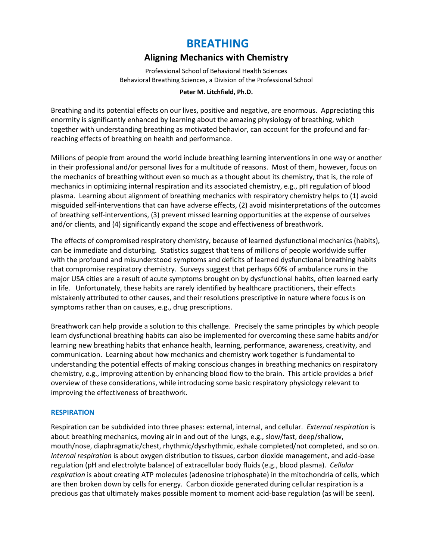## **BREATHING**

## **Aligning Mechanics with Chemistry**

Professional School of Behavioral Health Sciences Behavioral Breathing Sciences, a Division of the Professional School

#### **Peter M. Litchfield, Ph.D.**

Breathing and its potential effects on our lives, positive and negative, are enormous. Appreciating this enormity is significantly enhanced by learning about the amazing physiology of breathing, which together with understanding breathing as motivated behavior, can account for the profound and farreaching effects of breathing on health and performance.

Millions of people from around the world include breathing learning interventions in one way or another in their professional and/or personal lives for a multitude of reasons. Most of them, however, focus on the mechanics of breathing without even so much as a thought about its chemistry, that is, the role of mechanics in optimizing internal respiration and its associated chemistry, e.g., pH regulation of blood plasma. Learning about alignment of breathing mechanics with respiratory chemistry helps to (1) avoid misguided self-interventions that can have adverse effects, (2) avoid misinterpretations of the outcomes of breathing self-interventions, (3) prevent missed learning opportunities at the expense of ourselves and/or clients, and (4) significantly expand the scope and effectiveness of breathwork.

The effects of compromised respiratory chemistry, because of learned dysfunctional mechanics (habits), can be immediate and disturbing. Statistics suggest that tens of millions of people worldwide suffer with the profound and misunderstood symptoms and deficits of learned dysfunctional breathing habits that compromise respiratory chemistry. Surveys suggest that perhaps 60% of ambulance runs in the major USA cities are a result of acute symptoms brought on by dysfunctional habits, often learned early in life. Unfortunately, these habits are rarely identified by healthcare practitioners, their effects mistakenly attributed to other causes, and their resolutions prescriptive in nature where focus is on symptoms rather than on causes, e.g., drug prescriptions.

Breathwork can help provide a solution to this challenge. Precisely the same principles by which people learn dysfunctional breathing habits can also be implemented for overcoming these same habits and/or learning new breathing habits that enhance health, learning, performance, awareness, creativity, and communication. Learning about how mechanics and chemistry work together is fundamental to understanding the potential effects of making conscious changes in breathing mechanics on respiratory chemistry, e.g., improving attention by enhancing blood flow to the brain. This article provides a brief overview of these considerations, while introducing some basic respiratory physiology relevant to improving the effectiveness of breathwork.

#### **RESPIRATION**

Respiration can be subdivided into three phases: external, internal, and cellular. *External respiration* is about breathing mechanics, moving air in and out of the lungs, e.g., slow/fast, deep/shallow, mouth/nose, diaphragmatic/chest, rhythmic/dysrhythmic, exhale completed/not completed, and so on. *Internal respiration* is about oxygen distribution to tissues, carbon dioxide management, and acid-base regulation (pH and electrolyte balance) of extracellular body fluids (e.g., blood plasma). *Cellular respiration* is about creating ATP molecules (adenosine triphosphate) in the mitochondria of cells, which are then broken down by cells for energy. Carbon dioxide generated during cellular respiration is a precious gas that ultimately makes possible moment to moment acid-base regulation (as will be seen).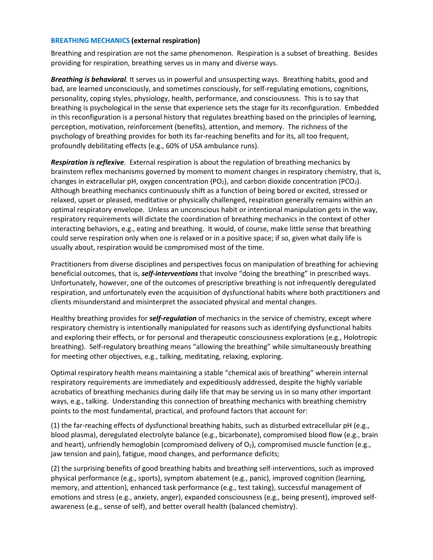#### **BREATHING MECHANICS (external respiration)**

Breathing and respiration are not the same phenomenon. Respiration is a subset of breathing. Besides providing for respiration, breathing serves us in many and diverse ways.

*Breathing is behavioral.* It serves us in powerful and unsuspecting ways. Breathing habits, good and bad, are learned unconsciously, and sometimes consciously, for self-regulating emotions, cognitions, personality, coping styles, physiology, health, performance, and consciousness. This is to say that breathing is psychological in the sense that experience sets the stage for its reconfiguration. Embedded in this reconfiguration is a personal history that regulates breathing based on the principles of learning, perception, motivation, reinforcement (benefits), attention, and memory. The richness of the psychology of breathing provides for both its far-reaching benefits and for its, all too frequent, profoundly debilitating effects (e.g., 60% of USA ambulance runs).

*Respiration is reflexive*. External respiration is about the regulation of breathing mechanics by brainstem reflex mechanisms governed by moment to moment changes in respiratory chemistry, that is, changes in extracellular pH, oxygen concentration ( $PO<sub>2</sub>$ ), and carbon dioxide concentration ( $PCO<sub>2</sub>$ ). Although breathing mechanics continuously shift as a function of being bored or excited, stressed or relaxed, upset or pleased, meditative or physically challenged, respiration generally remains within an optimal respiratory envelope. Unless an unconscious habit or intentional manipulation gets in the way, respiratory requirements will dictate the coordination of breathing mechanics in the context of other interacting behaviors, e.g., eating and breathing. It would, of course, make little sense that breathing could serve respiration only when one is relaxed or in a positive space; if so, given what daily life is usually about, respiration would be compromised most of the time.

Practitioners from diverse disciplines and perspectives focus on manipulation of breathing for achieving beneficial outcomes, that is, *self-interventions* that involve "doing the breathing" in prescribed ways. Unfortunately, however, one of the outcomes of prescriptive breathing is not infrequently deregulated respiration, and unfortunately even the acquisition of dysfunctional habits where both practitioners and clients misunderstand and misinterpret the associated physical and mental changes.

Healthy breathing provides for *self-regulation* of mechanics in the service of chemistry, except where respiratory chemistry is intentionally manipulated for reasons such as identifying dysfunctional habits and exploring their effects, or for personal and therapeutic consciousness explorations (e.g., Holotropic breathing). Self-regulatory breathing means "allowing the breathing" while simultaneously breathing for meeting other objectives, e.g., talking, meditating, relaxing, exploring.

Optimal respiratory health means maintaining a stable "chemical axis of breathing" wherein internal respiratory requirements are immediately and expeditiously addressed, despite the highly variable acrobatics of breathing mechanics during daily life that may be serving us in so many other important ways, e.g., talking. Understanding this connection of breathing mechanics with breathing chemistry points to the most fundamental, practical, and profound factors that account for:

(1) the far-reaching effects of dysfunctional breathing habits, such as disturbed extracellular pH (e.g., blood plasma), deregulated electrolyte balance (e.g., bicarbonate), compromised blood flow (e.g., brain and heart), unfriendly hemoglobin (compromised delivery of  $O_2$ ), compromised muscle function (e.g., jaw tension and pain), fatigue, mood changes, and performance deficits;

(2) the surprising benefits of good breathing habits and breathing self-interventions, such as improved physical performance (e.g., sports), symptom abatement (e.g., panic), improved cognition (learning, memory, and attention), enhanced task performance (e.g., test taking), successful management of emotions and stress (e.g., anxiety, anger), expanded consciousness (e.g., being present), improved selfawareness (e.g., sense of self), and better overall health (balanced chemistry).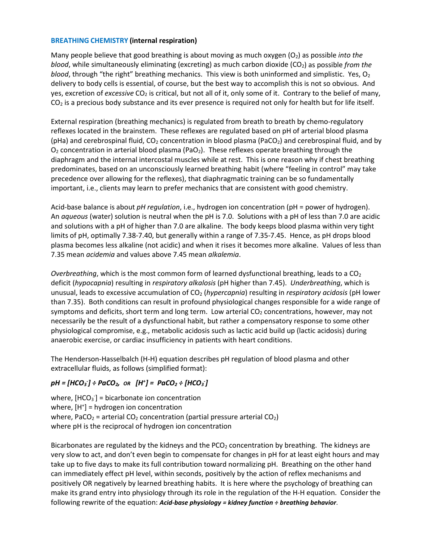#### **BREATHING CHEMISTRY (internal respiration)**

Many people believe that good breathing is about moving as much oxygen (O2) as possible *into the blood*, while simultaneously eliminating (excreting) as much carbon dioxide (CO<sub>2</sub>) as possible *from the blood*, through "the right" breathing mechanics. This view is both uninformed and simplistic. Yes,  $O_2$ delivery to body cells is essential, of course, but the best way to accomplish this is not so obvious. And yes, excretion of *excessive* CO<sub>2</sub> is critical, but not all of it, only some of it. Contrary to the belief of many,  $CO<sub>2</sub>$  is a precious body substance and its ever presence is required not only for health but for life itself.

External respiration (breathing mechanics) is regulated from breath to breath by chemo-regulatory reflexes located in the brainstem. These reflexes are regulated based on pH of arterial blood plasma (pHa) and cerebrospinal fluid,  $CO<sub>2</sub>$  concentration in blood plasma (PaCO<sub>2</sub>) and cerebrospinal fluid, and by  $O<sub>2</sub>$  concentration in arterial blood plasma (PaO<sub>2</sub>). These reflexes operate breathing through the diaphragm and the internal intercostal muscles while at rest. This is one reason why if chest breathing predominates, based on an unconsciously learned breathing habit (where "feeling in control" may take precedence over allowing for the reflexes), that diaphragmatic training can be so fundamentally important, i.e., clients may learn to prefer mechanics that are consistent with good chemistry.

Acid-base balance is about *pH regulation*, i.e., hydrogen ion concentration (pH = power of hydrogen). An *aqueous* (water) solution is neutral when the pH is 7.0. Solutions with a pH of less than 7.0 are acidic and solutions with a pH of higher than 7.0 are alkaline. The body keeps blood plasma within very tight limits of pH, optimally 7.38-7.40, but generally within a range of 7.35-7.45. Hence, as pH drops blood plasma becomes less alkaline (not acidic) and when it rises it becomes more alkaline. Values of less than 7.35 mean *acidemia* and values above 7.45 mean *alkalemia*.

*Overbreathing*, which is the most common form of learned dysfunctional breathing, leads to a CO<sub>2</sub> deficit (*hypocapnia*) resulting in *respiratory alkalosis* (pH higher than 7.45). *Underbreathing*, which is unusual, leads to excessive accumulation of CO2 (*hypercapnia*) resulting in *respiratory acidosis* (pH lower than 7.35). Both conditions can result in profound physiological changes responsible for a wide range of symptoms and deficits, short term and long term. Low arterial  $CO<sub>2</sub>$  concentrations, however, may not necessarily be the result of a dysfunctional habit, but rather a compensatory response to some other physiological compromise, e.g., metabolic acidosis such as lactic acid build up (lactic acidosis) during anaerobic exercise, or cardiac insufficiency in patients with heart conditions.

The Henderson-Hasselbalch (H-H) equation describes pH regulation of blood plasma and other extracellular fluids, as follows (simplified format):

### $p$ H = [HCO<sub>3</sub><sup>\*</sup>] ÷ PaCO<sub>2</sub>, or  $[$ H<sup>+</sup>] = PaCO<sub>2</sub> ÷ [HCO<sub>3</sub><sup>\*</sup>]

where,  $[HCO<sub>3</sub>$ <sup>-</sup>] = bicarbonate ion concentration where,  $[H^+]$  = hydrogen ion concentration where, PaCO<sub>2</sub> = arterial CO<sub>2</sub> concentration (partial pressure arterial CO<sub>2</sub>) where pH is the reciprocal of hydrogen ion concentration

Bicarbonates are regulated by the kidneys and the  $PCO<sub>2</sub>$  concentration by breathing. The kidneys are very slow to act, and don't even begin to compensate for changes in pH for at least eight hours and may take up to five days to make its full contribution toward normalizing pH. Breathing on the other hand can immediately effect pH level, within seconds, positively by the action of reflex mechanisms and positively OR negatively by learned breathing habits. It is here where the psychology of breathing can make its grand entry into physiology through its role in the regulation of the H-H equation. Consider the following rewrite of the equation: *Acid-base physiology = kidney function ÷ breathing behavior*.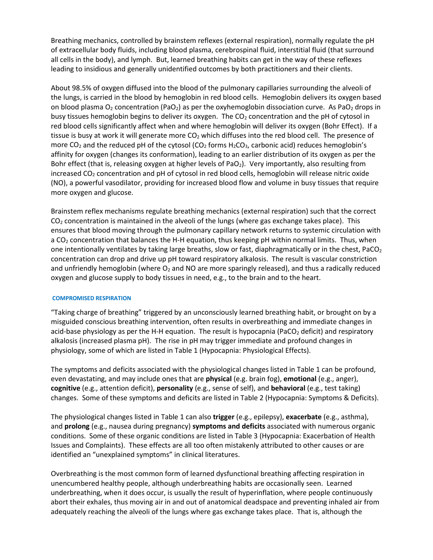Breathing mechanics, controlled by brainstem reflexes (external respiration), normally regulate the pH of extracellular body fluids, including blood plasma, cerebrospinal fluid, interstitial fluid (that surround all cells in the body), and lymph. But, learned breathing habits can get in the way of these reflexes leading to insidious and generally unidentified outcomes by both practitioners and their clients.

About 98.5% of oxygen diffused into the blood of the pulmonary capillaries surrounding the alveoli of the lungs, is carried in the blood by hemoglobin in red blood cells. Hemoglobin delivers its oxygen based on blood plasma  $O_2$  concentration (PaO<sub>2</sub>) as per the oxyhemoglobin dissociation curve. As PaO<sub>2</sub> drops in busy tissues hemoglobin begins to deliver its oxygen. The CO<sub>2</sub> concentration and the pH of cytosol in red blood cells significantly affect when and where hemoglobin will deliver its oxygen (Bohr Effect). If a tissue is busy at work it will generate more  $CO<sub>2</sub>$  which diffuses into the red blood cell. The presence of more CO<sub>2</sub> and the reduced pH of the cytosol (CO<sub>2</sub> forms  $H_2CO_3$ , carbonic acid) reduces hemoglobin's affinity for oxygen (changes its conformation), leading to an earlier distribution of its oxygen as per the Bohr effect (that is, releasing oxygen at higher levels of PaO<sub>2</sub>). Very importantly, also resulting from increased CO<sub>2</sub> concentration and pH of cytosol in red blood cells, hemoglobin will release nitric oxide (NO), a powerful vasodilator, providing for increased blood flow and volume in busy tissues that require more oxygen and glucose.

Brainstem reflex mechanisms regulate breathing mechanics (external respiration) such that the correct  $CO<sub>2</sub>$  concentration is maintained in the alveoli of the lungs (where gas exchange takes place). This ensures that blood moving through the pulmonary capillary network returns to systemic circulation with a  $CO<sub>2</sub>$  concentration that balances the H-H equation, thus keeping pH within normal limits. Thus, when one intentionally ventilates by taking large breaths, slow or fast, diaphragmatically or in the chest, PaCO<sub>2</sub> concentration can drop and drive up pH toward respiratory alkalosis. The result is vascular constriction and unfriendly hemoglobin (where  $O_2$  and NO are more sparingly released), and thus a radically reduced oxygen and glucose supply to body tissues in need, e.g., to the brain and to the heart.

#### **COMPROMISED RESPIRATION**

"Taking charge of breathing" triggered by an unconsciously learned breathing habit, or brought on by a misguided conscious breathing intervention, often results in overbreathing and immediate changes in acid-base physiology as per the H-H equation. The result is hypocapnia (PaCO<sub>2</sub> deficit) and respiratory alkalosis (increased plasma pH). The rise in pH may trigger immediate and profound changes in physiology, some of which are listed in Table 1 (Hypocapnia: Physiological Effects).

The symptoms and deficits associated with the physiological changes listed in Table 1 can be profound, even devastating, and may include ones that are **physical** (e.g. brain fog), **emotional** (e.g., anger), **cognitive** (e.g., attention deficit), **personality** (e.g., sense of self), and **behavioral** (e.g., test taking) changes. Some of these symptoms and deficits are listed in Table 2 (Hypocapnia: Symptoms & Deficits).

The physiological changes listed in Table 1 can also **trigger** (e.g., epilepsy), **exacerbate** (e.g., asthma), and **prolong** (e.g., nausea during pregnancy) **symptoms and deficits** associated with numerous organic conditions. Some of these organic conditions are listed in Table 3 (Hypocapnia: Exacerbation of Health Issues and Complaints). These effects are all too often mistakenly attributed to other causes or are identified an "unexplained symptoms" in clinical literatures.

Overbreathing is the most common form of learned dysfunctional breathing affecting respiration in unencumbered healthy people, although underbreathing habits are occasionally seen. Learned underbreathing, when it does occur, is usually the result of hyperinflation, where people continuously abort their exhales, thus moving air in and out of anatomical deadspace and preventing inhaled air from adequately reaching the alveoli of the lungs where gas exchange takes place. That is, although the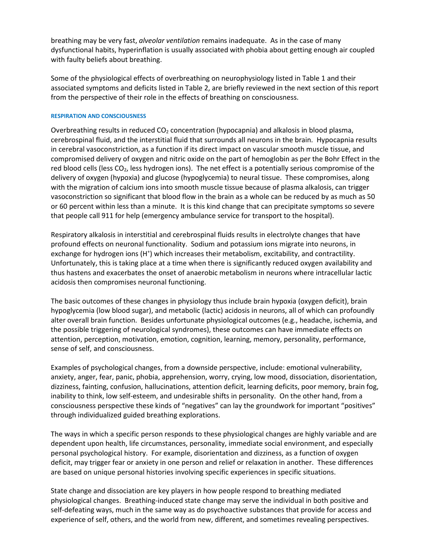breathing may be very fast, *alveolar ventilation* remains inadequate. As in the case of many dysfunctional habits, hyperinflation is usually associated with phobia about getting enough air coupled with faulty beliefs about breathing.

Some of the physiological effects of overbreathing on neurophysiology listed in Table 1 and their associated symptoms and deficits listed in Table 2, are briefly reviewed in the next section of this report from the perspective of their role in the effects of breathing on consciousness.

#### **RESPIRATION AND CONSCIOUSNESS**

Overbreathing results in reduced  $CO<sub>2</sub>$  concentration (hypocapnia) and alkalosis in blood plasma, cerebrospinal fluid, and the interstitial fluid that surrounds all neurons in the brain. Hypocapnia results in cerebral vasoconstriction, as a function if its direct impact on vascular smooth muscle tissue, and compromised delivery of oxygen and nitric oxide on the part of hemoglobin as per the Bohr Effect in the red blood cells (less CO2, less hydrogen ions). The net effect is a potentially serious compromise of the delivery of oxygen (hypoxia) and glucose (hypoglycemia) to neural tissue. These compromises, along with the migration of calcium ions into smooth muscle tissue because of plasma alkalosis, can trigger vasoconstriction so significant that blood flow in the brain as a whole can be reduced by as much as 50 or 60 percent within less than a minute. It is this kind change that can precipitate symptoms so severe that people call 911 for help (emergency ambulance service for transport to the hospital).

Respiratory alkalosis in interstitial and cerebrospinal fluids results in electrolyte changes that have profound effects on neuronal functionality. Sodium and potassium ions migrate into neurons, in exchange for hydrogen ions (H<sup>+</sup>) which increases their metabolism, excitability, and contractility. Unfortunately, this is taking place at a time when there is significantly reduced oxygen availability and thus hastens and exacerbates the onset of anaerobic metabolism in neurons where intracellular lactic acidosis then compromises neuronal functioning.

The basic outcomes of these changes in physiology thus include brain hypoxia (oxygen deficit), brain hypoglycemia (low blood sugar), and metabolic (lactic) acidosis in neurons, all of which can profoundly alter overall brain function. Besides unfortunate physiological outcomes (e.g., headache, ischemia, and the possible triggering of neurological syndromes), these outcomes can have immediate effects on attention, perception, motivation, emotion, cognition, learning, memory, personality, performance, sense of self, and consciousness.

Examples of psychological changes, from a downside perspective, include: emotional vulnerability, anxiety, anger, fear, panic, phobia, apprehension, worry, crying, low mood, dissociation, disorientation, dizziness, fainting, confusion, hallucinations, attention deficit, learning deficits, poor memory, brain fog, inability to think, low self-esteem, and undesirable shifts in personality. On the other hand, from a consciousness perspective these kinds of "negatives" can lay the groundwork for important "positives" through individualized guided breathing explorations.

The ways in which a specific person responds to these physiological changes are highly variable and are dependent upon health, life circumstances, personality, immediate social environment, and especially personal psychological history. For example, disorientation and dizziness, as a function of oxygen deficit, may trigger fear or anxiety in one person and relief or relaxation in another. These differences are based on unique personal histories involving specific experiences in specific situations.

State change and dissociation are key players in how people respond to breathing mediated physiological changes. Breathing-induced state change may serve the individual in both positive and self-defeating ways, much in the same way as do psychoactive substances that provide for access and experience of self, others, and the world from new, different, and sometimes revealing perspectives.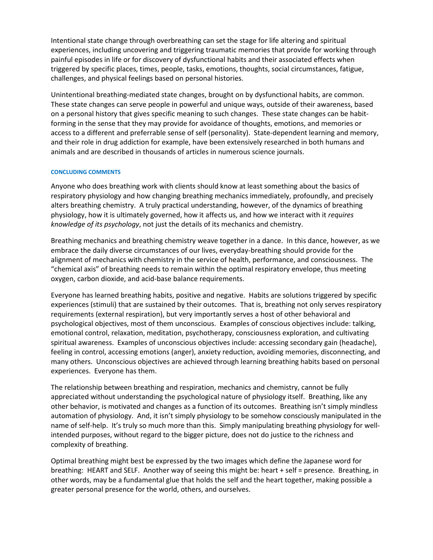Intentional state change through overbreathing can set the stage for life altering and spiritual experiences, including uncovering and triggering traumatic memories that provide for working through painful episodes in life or for discovery of dysfunctional habits and their associated effects when triggered by specific places, times, people, tasks, emotions, thoughts, social circumstances, fatigue, challenges, and physical feelings based on personal histories.

Unintentional breathing-mediated state changes, brought on by dysfunctional habits, are common. These state changes can serve people in powerful and unique ways, outside of their awareness, based on a personal history that gives specific meaning to such changes. These state changes can be habitforming in the sense that they may provide for avoidance of thoughts, emotions, and memories or access to a different and preferrable sense of self (personality). State-dependent learning and memory, and their role in drug addiction for example, have been extensively researched in both humans and animals and are described in thousands of articles in numerous science journals.

#### **CONCLUDING COMMENTS**

Anyone who does breathing work with clients should know at least something about the basics of respiratory physiology and how changing breathing mechanics immediately, profoundly, and precisely alters breathing chemistry. A truly practical understanding, however, of the dynamics of breathing physiology, how it is ultimately governed, how it affects us, and how we interact with it *requires knowledge of its psychology*, not just the details of its mechanics and chemistry.

Breathing mechanics and breathing chemistry weave together in a dance. In this dance, however, as we embrace the daily diverse circumstances of our lives, everyday-breathing should provide for the alignment of mechanics with chemistry in the service of health, performance, and consciousness. The "chemical axis" of breathing needs to remain within the optimal respiratory envelope, thus meeting oxygen, carbon dioxide, and acid-base balance requirements.

Everyone has learned breathing habits, positive and negative. Habits are solutions triggered by specific experiences (stimuli) that are sustained by their outcomes. That is, breathing not only serves respiratory requirements (external respiration), but very importantly serves a host of other behavioral and psychological objectives, most of them unconscious. Examples of conscious objectives include: talking, emotional control, relaxation, meditation, psychotherapy, consciousness exploration, and cultivating spiritual awareness. Examples of unconscious objectives include: accessing secondary gain (headache), feeling in control, accessing emotions (anger), anxiety reduction, avoiding memories, disconnecting, and many others. Unconscious objectives are achieved through learning breathing habits based on personal experiences. Everyone has them.

The relationship between breathing and respiration, mechanics and chemistry, cannot be fully appreciated without understanding the psychological nature of physiology itself. Breathing, like any other behavior, is motivated and changes as a function of its outcomes. Breathing isn't simply mindless automation of physiology. And, it isn't simply physiology to be somehow consciously manipulated in the name of self-help. It's truly so much more than this. Simply manipulating breathing physiology for wellintended purposes, without regard to the bigger picture, does not do justice to the richness and complexity of breathing.

Optimal breathing might best be expressed by the two images which define the Japanese word for breathing: HEART and SELF. Another way of seeing this might be: heart + self = presence. Breathing, in other words, may be a fundamental glue that holds the self and the heart together, making possible a greater personal presence for the world, others, and ourselves.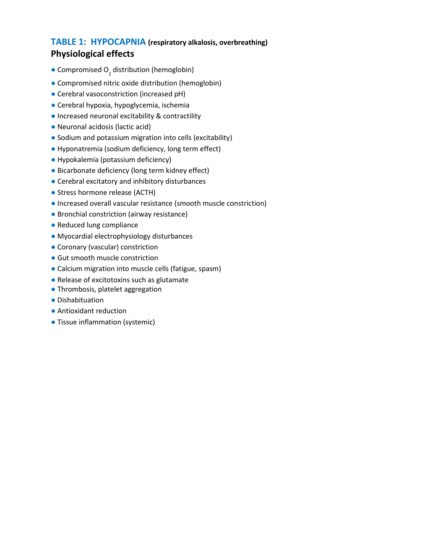## **TABLE 1: HYPOCAPNIA (respiratory alkalosis, overbreathing) Physiological effects**

- **Compromised O<sub>2</sub>** distribution (hemoglobin)
- **●** Compromised nitric oxide distribution (hemoglobin)
- **●** Cerebral vasoconstriction (increased pH)
- **●** Cerebral hypoxia, hypoglycemia, ischemia
- **●** Increased neuronal excitability & contractility
- **●** Neuronal acidosis (lactic acid)
- **●** Sodium and potassium migration into cells (excitability)
- **●** Hyponatremia (sodium deficiency, long term effect)
- **●** Hypokalemia (potassium deficiency)
- **●** Bicarbonate deficiency (long term kidney effect)
- **●** Cerebral excitatory and inhibitory disturbances
- **●** Stress hormone release (ACTH)
- **●** Increased overall vascular resistance (smooth muscle constriction)
- **●** Bronchial constriction (airway resistance)
- **●** Reduced lung compliance
- **●** Myocardial electrophysiology disturbances
- **●** Coronary (vascular) constriction
- **●** Gut smooth muscle constriction
- **●** Calcium migration into muscle cells (fatigue, spasm)
- **●** Release of excitotoxins such as glutamate
- **●** Thrombosis, platelet aggregation
- **●** Dishabituation
- **●** Antioxidant reduction
- **●** Tissue inflammation (systemic)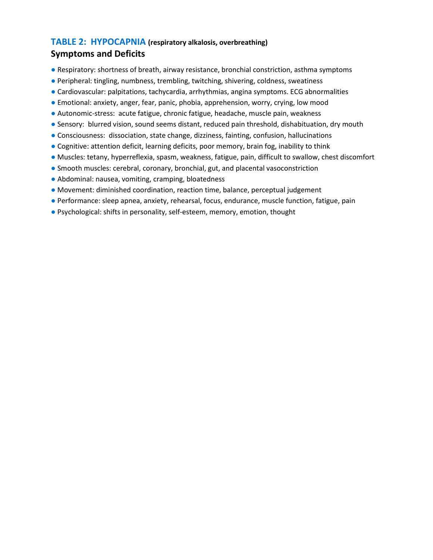# **TABLE 2: HYPOCAPNIA (respiratory alkalosis, overbreathing)**

## **Symptoms and Deficits**

- **●** Respiratory: shortness of breath, airway resistance, bronchial constriction, asthma symptoms
- **●** Peripheral: tingling, numbness, trembling, twitching, shivering, coldness, sweatiness
- **●** Cardiovascular: palpitations, tachycardia, arrhythmias, angina symptoms. ECG abnormalities
- **●** Emotional: anxiety, anger, fear, panic, phobia, apprehension, worry, crying, low mood
- **●** Autonomic-stress: acute fatigue, chronic fatigue, headache, muscle pain, weakness
- **●** Sensory: blurred vision, sound seems distant, reduced pain threshold, dishabituation, dry mouth
- **●** Consciousness: dissociation, state change, dizziness, fainting, confusion, hallucinations
- **●** Cognitive: attention deficit, learning deficits, poor memory, brain fog, inability to think
- **●** Muscles: tetany, hyperreflexia, spasm, weakness, fatigue, pain, difficult to swallow, chest discomfort
- **●** Smooth muscles: cerebral, coronary, bronchial, gut, and placental vasoconstriction
- **●** Abdominal: nausea, vomiting, cramping, bloatedness
- **●** Movement: diminished coordination, reaction time, balance, perceptual judgement
- **●** Performance: sleep apnea, anxiety, rehearsal, focus, endurance, muscle function, fatigue, pain
- **●** Psychological: shifts in personality, self-esteem, memory, emotion, thought